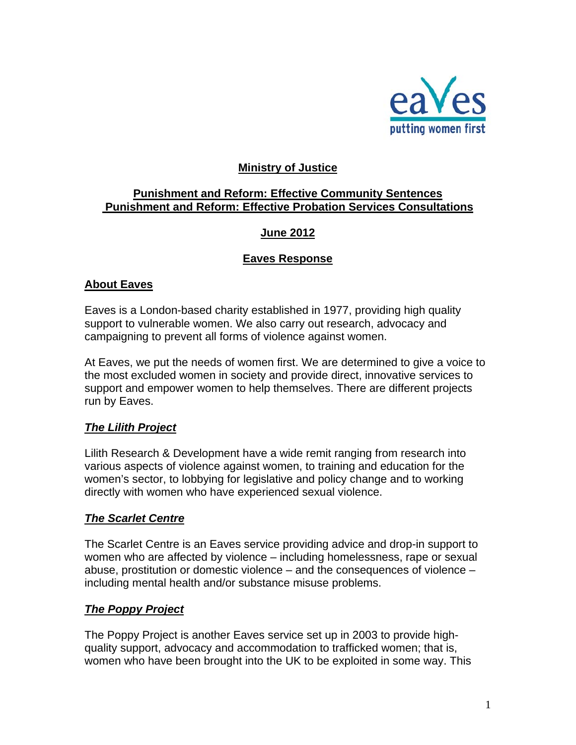

## **Ministry of Justice**

## **Punishment and Reform: Effective Community Sentences Punishment and Reform: Effective Probation Services Consultations**

## **June 2012**

### **Eaves Response**

### **About Eaves**

Eaves is a London-based charity established in 1977, providing high quality support to vulnerable women. We also carry out research, advocacy and campaigning to prevent all forms of violence against women.

At Eaves, we put the needs of women first. We are determined to give a voice to the most excluded women in society and provide direct, innovative services to support and empower women to help themselves. There are different projects run by Eaves.

### *The Lilith Project*

Lilith Research & Development have a wide remit ranging from research into various aspects of violence against women, to training and education for the women's sector, to lobbying for legislative and policy change and to working directly with women who have experienced sexual violence.

### *The Scarlet Centre*

The Scarlet Centre is an Eaves service providing advice and drop-in support to women who are affected by violence – including homelessness, rape or sexual abuse, prostitution or domestic violence – and the consequences of violence – including mental health and/or substance misuse problems.

## *The Poppy Project*

The Poppy Project is another Eaves service set up in 2003 to provide highquality support, advocacy and accommodation to trafficked women; that is, women who have been brought into the UK to be exploited in some way. This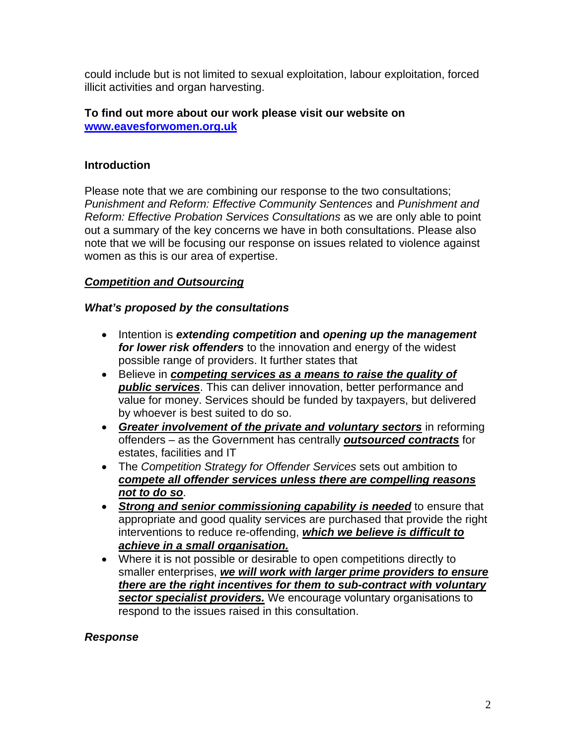could include but is not limited to sexual exploitation, labour exploitation, forced illicit activities and organ harvesting.

#### **To find out more about our work please visit our website on [www.eavesforwomen.org.uk](http://www.eavesforwomen.org.uk/)**

## **Introduction**

Please note that we are combining our response to the two consultations; *Punishment and Reform: Effective Community Sentences* and *Punishment and Reform: Effective Probation Services Consultations* as we are only able to point out a summary of the key concerns we have in both consultations. Please also note that we will be focusing our response on issues related to violence against women as this is our area of expertise.

## *Competition and Outsourcing*

### *What's proposed by the consultations*

- Intention is *extending competition* **and** *opening up the management for lower risk offenders* to the innovation and energy of the widest possible range of providers. It further states that
- Believe in *competing services as a means to raise the quality of public services*. This can deliver innovation, better performance and value for money. Services should be funded by taxpayers, but delivered by whoever is best suited to do so.
- *Greater involvement of the private and voluntary sectors* in reforming offenders – as the Government has centrally *outsourced contracts* for estates, facilities and IT
- The *Competition Strategy for Offender Services* sets out ambition to *compete all offender services unless there are compelling reasons not to do so*.
- *Strong and senior commissioning capability is needed* to ensure that appropriate and good quality services are purchased that provide the right interventions to reduce re-offending, *which we believe is difficult to achieve in a small organisation.*
- Where it is not possible or desirable to open competitions directly to smaller enterprises, *we will work with larger prime providers to ensure there are the right incentives for them to sub-contract with voluntary sector specialist providers.* We encourage voluntary organisations to respond to the issues raised in this consultation.

### *Response*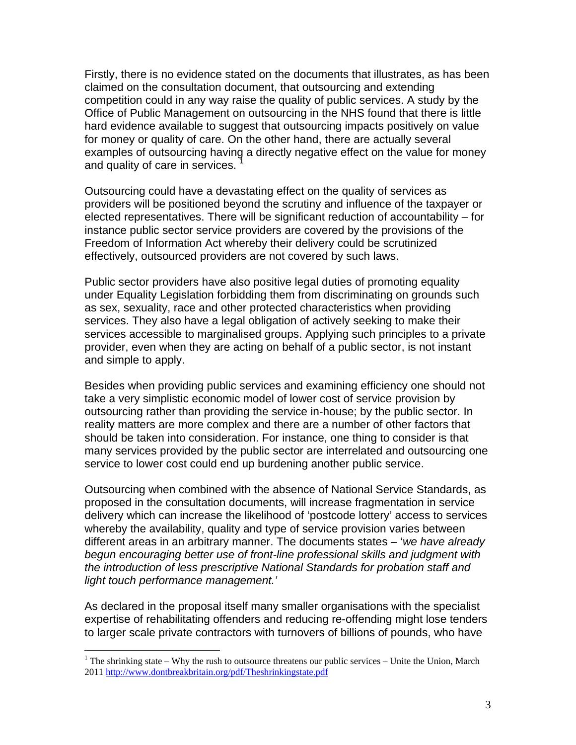Firstly, there is no evidence stated on the documents that illustrates, as has been claimed on the consultation document, that outsourcing and extending competition could in any way raise the quality of public services. A study by the Office of Public Management on outsourcing in the NHS found that there is little hard evidence available to suggest that outsourcing impacts positively on value for money or quality of care. On the other hand, there are actually several examples of outsourcing having a directly negative effect on the value for money and quality of care in services.

Outsourcing could have a devastating effect on the quality of services as providers will be positioned beyond the scrutiny and influence of the taxpayer or elected representatives. There will be significant reduction of accountability – for instance public sector service providers are covered by the provisions of the Freedom of Information Act whereby their delivery could be scrutinized effectively, outsourced providers are not covered by such laws.

Public sector providers have also positive legal duties of promoting equality under Equality Legislation forbidding them from discriminating on grounds such as sex, sexuality, race and other protected characteristics when providing services. They also have a legal obligation of actively seeking to make their services accessible to marginalised groups. Applying such principles to a private provider, even when they are acting on behalf of a public sector, is not instant and simple to apply.

Besides when providing public services and examining efficiency one should not take a very simplistic economic model of lower cost of service provision by outsourcing rather than providing the service in-house; by the public sector. In reality matters are more complex and there are a number of other factors that should be taken into consideration. For instance, one thing to consider is that many services provided by the public sector are interrelated and outsourcing one service to lower cost could end up burdening another public service.

Outsourcing when combined with the absence of National Service Standards, as proposed in the consultation documents, will increase fragmentation in service delivery which can increase the likelihood of 'postcode lottery' access to services whereby the availability, quality and type of service provision varies between different areas in an arbitrary manner. The documents states – '*we have already begun encouraging better use of front-line professional skills and judgment with the introduction of less prescriptive National Standards for probation staff and light touch performance management.'*

As declared in the proposal itself many smaller organisations with the specialist expertise of rehabilitating offenders and reducing re-offending might lose tenders to larger scale private contractors with turnovers of billions of pounds, who have

1

<span id="page-2-0"></span><sup>&</sup>lt;sup>1</sup> The shrinking state – Why the rush to outsource threatens our public services – Unite the Union, March 2011 <http://www.dontbreakbritain.org/pdf/Theshrinkingstate.pdf>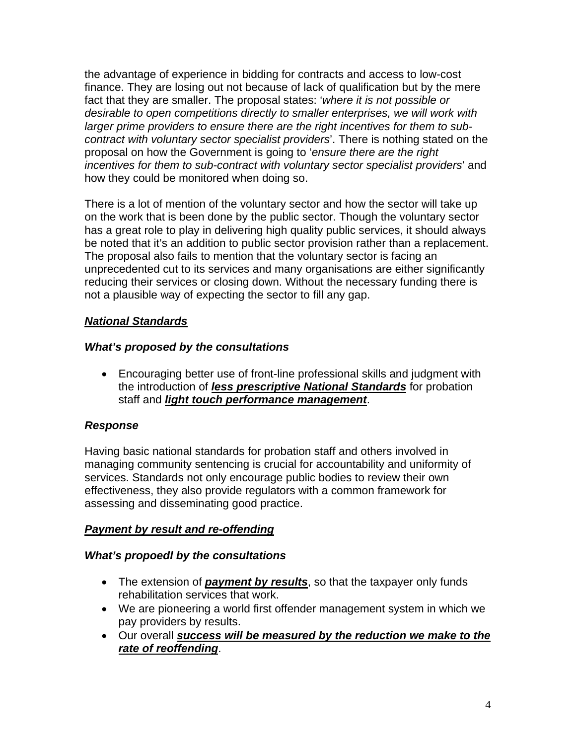the advantage of experience in bidding for contracts and access to low-cost finance. They are losing out not because of lack of qualification but by the mere fact that they are smaller. The proposal states: '*where it is not possible or desirable to open competitions directly to smaller enterprises, we will work with larger prime providers to ensure there are the right incentives for them to subcontract with voluntary sector specialist providers*'. There is nothing stated on the proposal on how the Government is going to '*ensure there are the right incentives for them to sub-contract with voluntary sector specialist providers*' and how they could be monitored when doing so.

There is a lot of mention of the voluntary sector and how the sector will take up on the work that is been done by the public sector. Though the voluntary sector has a great role to play in delivering high quality public services, it should always be noted that it's an addition to public sector provision rather than a replacement. The proposal also fails to mention that the voluntary sector is facing an unprecedented cut to its services and many organisations are either significantly reducing their services or closing down. Without the necessary funding there is not a plausible way of expecting the sector to fill any gap.

# *National Standards*

# *What's proposed by the consultations*

• Encouraging better use of front-line professional skills and judgment with the introduction of *less prescriptive National Standards* for probation staff and *light touch performance management*.

# *Response*

Having basic national standards for probation staff and others involved in managing community sentencing is crucial for accountability and uniformity of services. Standards not only encourage public bodies to review their own effectiveness, they also provide regulators with a common framework for assessing and disseminating good practice.

# *Payment by result and re-offending*

## *What's propoedl by the consultations*

- The extension of *payment by results*, so that the taxpayer only funds rehabilitation services that work.
- We are pioneering a world first offender management system in which we pay providers by results.
- Our overall *success will be measured by the reduction we make to the rate of reoffending*.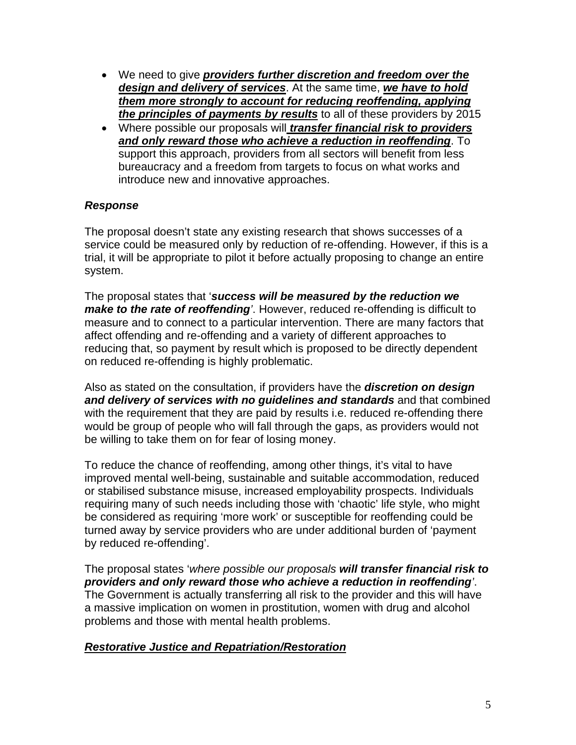- We need to give *providers further discretion and freedom over the design and delivery of services*. At the same time, *we have to hold them more strongly to account for reducing reoffending, applying the principles of payments by results* to all of these providers by 2015
- Where possible our proposals will *transfer financial risk to providers and only reward those who achieve a reduction in reoffending*. To support this approach, providers from all sectors will benefit from less bureaucracy and a freedom from targets to focus on what works and introduce new and innovative approaches.

### *Response*

The proposal doesn't state any existing research that shows successes of a service could be measured only by reduction of re-offending. However, if this is a trial, it will be appropriate to pilot it before actually proposing to change an entire system.

The proposal states that '*success will be measured by the reduction we make to the rate of reoffending'*. However, reduced re-offending is difficult to measure and to connect to a particular intervention. There are many factors that affect offending and re-offending and a variety of different approaches to reducing that, so payment by result which is proposed to be directly dependent on reduced re-offending is highly problematic.

Also as stated on the consultation, if providers have the *discretion on design and delivery of services with no guidelines and standards* and that combined with the requirement that they are paid by results i.e. reduced re-offending there would be group of people who will fall through the gaps, as providers would not be willing to take them on for fear of losing money.

To reduce the chance of reoffending, among other things, it's vital to have improved mental well-being, sustainable and suitable accommodation, reduced or stabilised substance misuse, increased employability prospects. Individuals requiring many of such needs including those with 'chaotic' life style, who might be considered as requiring 'more work' or susceptible for reoffending could be turned away by service providers who are under additional burden of 'payment by reduced re-offending'.

The proposal states '*where possible our proposals will transfer financial risk to providers and only reward those who achieve a reduction in reoffending'*. The Government is actually transferring all risk to the provider and this will have a massive implication on women in prostitution, women with drug and alcohol problems and those with mental health problems.

## *Restorative Justice and Repatriation/Restoration*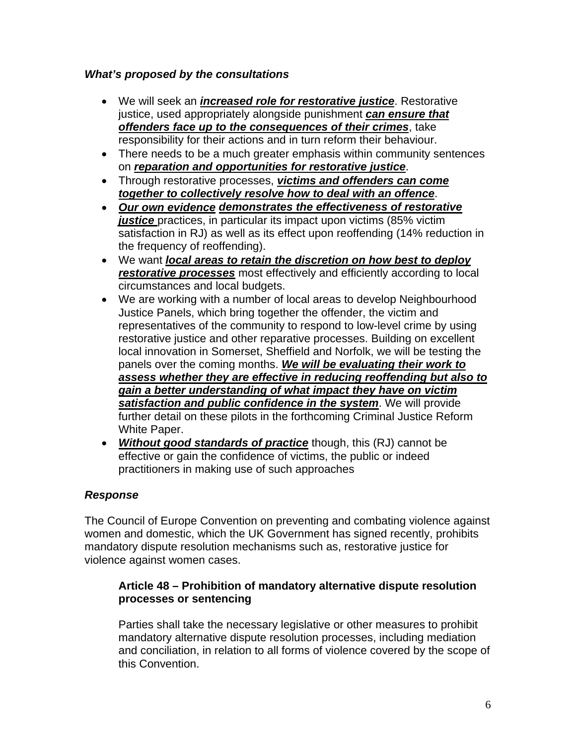## *What's proposed by the consultations*

- We will seek an *increased role for restorative justice*. Restorative justice, used appropriately alongside punishment *can ensure that offenders face up to the consequences of their crimes*, take responsibility for their actions and in turn reform their behaviour.
- There needs to be a much greater emphasis within community sentences on *reparation and opportunities for restorative justice*.
- Through restorative processes, *victims and offenders can come together to collectively resolve how to deal with an offence*.
- *Our own evidence demonstrates the effectiveness of restorative*  justice practices, in particular its impact upon victims (85% victim satisfaction in RJ) as well as its effect upon reoffending (14% reduction in the frequency of reoffending).
- We want *local areas to retain the discretion on how best to deploy restorative processes* most effectively and efficiently according to local circumstances and local budgets.
- We are working with a number of local areas to develop Neighbourhood Justice Panels, which bring together the offender, the victim and representatives of the community to respond to low-level crime by using restorative justice and other reparative processes. Building on excellent local innovation in Somerset, Sheffield and Norfolk, we will be testing the panels over the coming months. *We will be evaluating their work to assess whether they are effective in reducing reoffending but also to gain a better understanding of what impact they have on victim satisfaction and public confidence in the system*. We will provide further detail on these pilots in the forthcoming Criminal Justice Reform White Paper.
- *Without good standards of practice* though, this (RJ) cannot be effective or gain the confidence of victims, the public or indeed practitioners in making use of such approaches

# *Response*

The Council of Europe Convention on preventing and combating violence against women and domestic, which the UK Government has signed recently, prohibits mandatory dispute resolution mechanisms such as, restorative justice for violence against women cases.

### **Article 48 – Prohibition of mandatory alternative dispute resolution processes or sentencing**

Parties shall take the necessary legislative or other measures to prohibit mandatory alternative dispute resolution processes, including mediation and conciliation, in relation to all forms of violence covered by the scope of this Convention.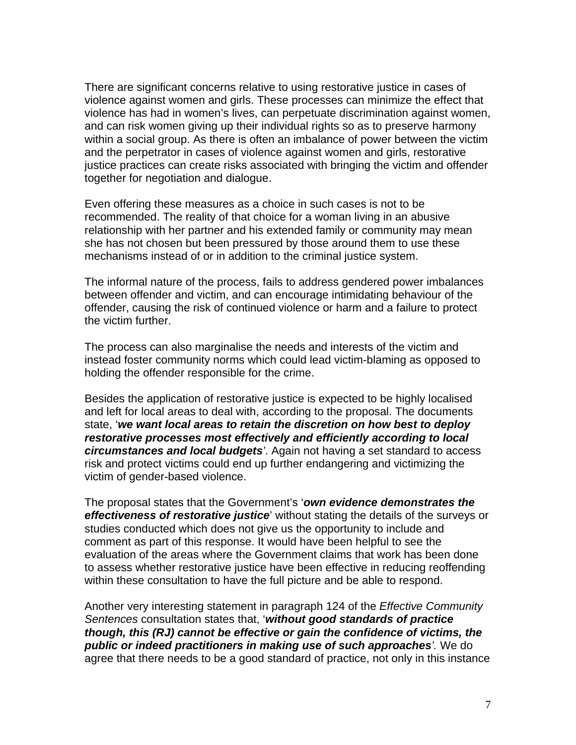There are significant concerns relative to using restorative justice in cases of violence against women and girls. These processes can minimize the effect that violence has had in women's lives, can perpetuate discrimination against women, and can risk women giving up their individual rights so as to preserve harmony within a social group. As there is often an imbalance of power between the victim and the perpetrator in cases of violence against women and girls, restorative justice practices can create risks associated with bringing the victim and offender together for negotiation and dialogue.

Even offering these measures as a choice in such cases is not to be recommended. The reality of that choice for a woman living in an abusive relationship with her partner and his extended family or community may mean she has not chosen but been pressured by those around them to use these mechanisms instead of or in addition to the criminal justice system.

The informal nature of the process, fails to address gendered power imbalances between offender and victim, and can encourage intimidating behaviour of the offender, causing the risk of continued violence or harm and a failure to protect the victim further.

The process can also marginalise the needs and interests of the victim and instead foster community norms which could lead victim-blaming as opposed to holding the offender responsible for the crime.

Besides the application of restorative justice is expected to be highly localised and left for local areas to deal with, according to the proposal. The documents state, '*we want local areas to retain the discretion on how best to deploy restorative processes most effectively and efficiently according to local circumstances and local budgets'*. Again not having a set standard to access risk and protect victims could end up further endangering and victimizing the victim of gender-based violence.

The proposal states that the Government's '*own evidence demonstrates the effectiveness of restorative justice*' without stating the details of the surveys or studies conducted which does not give us the opportunity to include and comment as part of this response. It would have been helpful to see the evaluation of the areas where the Government claims that work has been done to assess whether restorative justice have been effective in reducing reoffending within these consultation to have the full picture and be able to respond.

Another very interesting statement in paragraph 124 of the *Effective Community Sentences* consultation states that, '*without good standards of practice though, this (RJ) cannot be effective or gain the confidence of victims, the public or indeed practitioners in making use of such approaches'.* We do agree that there needs to be a good standard of practice, not only in this instance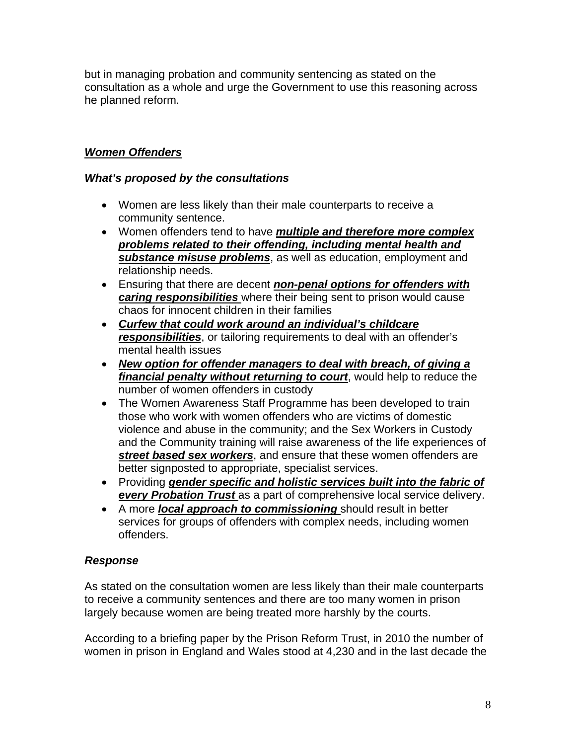but in managing probation and community sentencing as stated on the consultation as a whole and urge the Government to use this reasoning across he planned reform.

# *Women Offenders*

### *What's proposed by the consultations*

- Women are less likely than their male counterparts to receive a community sentence.
- Women offenders tend to have *multiple and therefore more complex problems related to their offending, including mental health and substance misuse problems*, as well as education, employment and relationship needs.
- Ensuring that there are decent *non-penal options for offenders with caring responsibilities* where their being sent to prison would cause chaos for innocent children in their families
- *Curfew that could work around an individual's childcare responsibilities*, or tailoring requirements to deal with an offender's mental health issues
- *New option for offender managers to deal with breach, of giving a financial penalty without returning to court*, would help to reduce the number of women offenders in custody
- The Women Awareness Staff Programme has been developed to train those who work with women offenders who are victims of domestic violence and abuse in the community; and the Sex Workers in Custody and the Community training will raise awareness of the life experiences of *street based sex workers*, and ensure that these women offenders are better signposted to appropriate, specialist services.
- Providing *gender specific and holistic services built into the fabric of*  **every Probation Trust** as a part of comprehensive local service delivery.
- A more *local approach to commissioning* should result in better services for groups of offenders with complex needs, including women offenders.

### *Response*

As stated on the consultation women are less likely than their male counterparts to receive a community sentences and there are too many women in prison largely because women are being treated more harshly by the courts.

According to a briefing paper by the Prison Reform Trust, in 2010 the number of women in prison in England and Wales stood at 4,230 and in the last decade the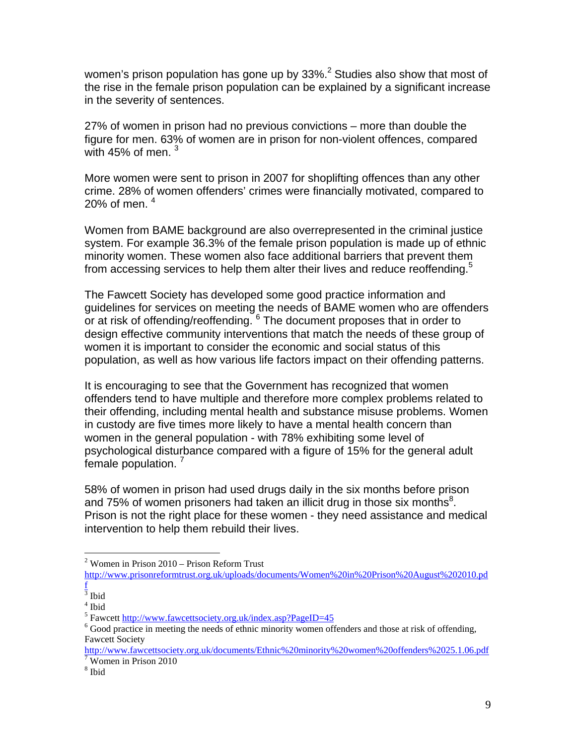women's prison population has gone up by  $33\%$ .<sup>[2](#page-8-0)</sup> Studies also show that most of the rise in the female prison population can be explained by a significant increase in the severity of sentences.

27% of women in prison had no previous convictions – more than double the figure for men. 63% of women are in prison for non-violent offences, compared with 45% of men.  $3$ 

More women were sent to prison in 2007 for shoplifting offences than any other crime. 28% of women offenders' crimes were financially motivated, compared to 20% of men.  $4$ 

Women from BAME background are also overrepresented in the criminal justice system. For example 36.3% of the female prison population is made up of ethnic minority women. These women also face additional barriers that prevent them from accessing services to help them alter their lives and reduce reoffending.<sup>[5](#page-8-3)</sup>

The Fawcett Society has developed some good practice information and guidelines for services on meeting the needs of BAME women who are offenders or at risk of offending/reoffending.  $6$  The document proposes that in order to design effective community interventions that match the needs of these group of women it is important to consider the economic and social status of this population, as well as how various life factors impact on their offending patterns.

It is encouraging to see that the Government has recognized that women offenders tend to have multiple and therefore more complex problems related to their offending, including mental health and substance misuse problems. Women in custody are five times more likely to have a mental health concern than women in the general population - with 78% exhibiting some level of psychological disturbance compared with a figure of 15% for the general adult female population.<sup>[7](#page-8-5)</sup>

58% of women in prison had used drugs daily in the six months before prison and 75% of women prisoners had taken an illicit drug in those six months $^8$  $^8$ . Prison is not the right place for these women - they need assistance and medical intervention to help them rebuild their lives.

 $\overline{a}$ 

<span id="page-8-0"></span> $2$  Women in Prison 2010 – Prison Reform Trust

[http://www.prisonreformtrust.org.uk/uploads/documents/Women%20in%20Prison%20August%202010.pd](http://www.prisonreformtrust.org.uk/uploads/documents/Women in Prison August 2010.pdf)

<span id="page-8-1"></span> $\frac{f}{3}$  $\frac{f}{3}$  $\frac{f}{3}$  Ibid<br><sup>4</sup> Ibid

<span id="page-8-2"></span> $^4$ Ibid  $\,$ 

<span id="page-8-3"></span><sup>&</sup>lt;sup>5</sup> Fawcett <http://www.fawcettsociety.org.uk/index.asp?PageID=45>

<span id="page-8-4"></span> $6$  Good practice in meeting the needs of ethnic minority women offenders and those at risk of offending, Fawcett Society

[http://www.fawcettsociety.org.uk/documents/Ethnic%20minority%20women%20offenders%2025.1.06.pdf](http://www.fawcettsociety.org.uk/documents/Ethnic minority women offenders 25.1.06.pdf)  $\frac{7}{7}$ Women in Prison 2010

<span id="page-8-6"></span><span id="page-8-5"></span> $8$  Ibid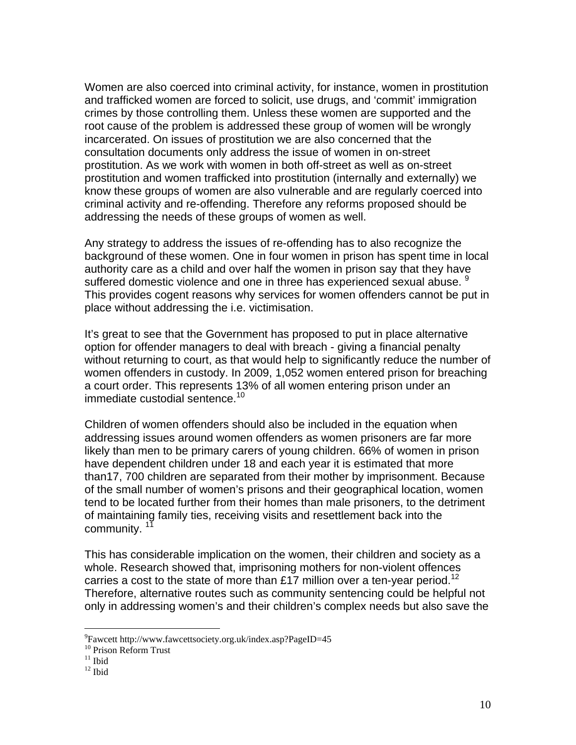Women are also coerced into criminal activity, for instance, women in prostitution and trafficked women are forced to solicit, use drugs, and 'commit' immigration crimes by those controlling them. Unless these women are supported and the root cause of the problem is addressed these group of women will be wrongly incarcerated. On issues of prostitution we are also concerned that the consultation documents only address the issue of women in on-street prostitution. As we work with women in both off-street as well as on-street prostitution and women trafficked into prostitution (internally and externally) we know these groups of women are also vulnerable and are regularly coerced into criminal activity and re-offending. Therefore any reforms proposed should be addressing the needs of these groups of women as well.

Any strategy to address the issues of re-offending has to also recognize the background of these women. One in four women in prison has spent time in local authority care as a child and over half the women in prison say that they have suffered domestic violence and one in three has experienced sexual abuse. <sup>[9](#page-9-0)</sup> This provides cogent reasons why services for women offenders cannot be put in place without addressing the i.e. victimisation.

It's great to see that the Government has proposed to put in place alternative option for offender managers to deal with breach - giving a financial penalty without returning to court, as that would help to significantly reduce the number of women offenders in custody. In 2009, 1,052 women entered prison for breaching a court order. This represents 13% of all women entering prison under an immediate custodial sentence.<sup>[10](#page-9-1)</sup>

Children of women offenders should also be included in the equation when addressing issues around women offenders as women prisoners are far more likely than men to be primary carers of young children. 66% of women in prison have dependent children under 18 and each year it is estimated that more than17, 700 children are separated from their mother by imprisonment. Because of the small number of women's prisons and their geographical location, women tend to be located further from their homes than male prisoners, to the detriment of maintaining family ties, receiving visits and resettlement back into the community.<sup>[11](#page-9-2)</sup>

This has considerable implication on the women, their children and society as a whole. Research showed that, imprisoning mothers for non-violent offences carries a cost to the state of more than £17 million over a ten-year period.<sup>[12](#page-9-3)</sup> Therefore, alternative routes such as community sentencing could be helpful not only in addressing women's and their children's complex needs but also save the

<u>.</u>

<span id="page-9-0"></span><sup>&</sup>lt;sup>9</sup>Fawcett http://www.fawcettsociety.org.uk/index.asp?PageID=45<br><sup>10</sup> Prison Reform Trust<br><sup>11</sup> Ibid<br><sup>12</sup> Ibid

<span id="page-9-1"></span>

<span id="page-9-2"></span>

<span id="page-9-3"></span>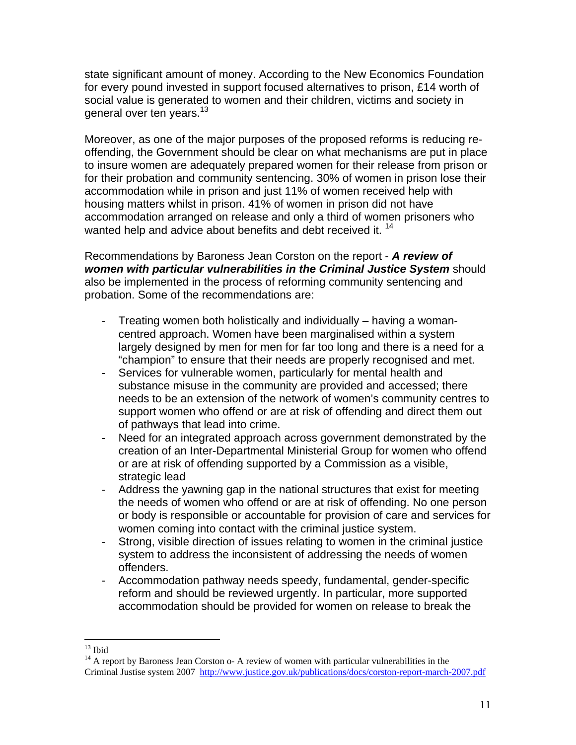state significant amount of money. According to the New Economics Foundation for every pound invested in support focused alternatives to prison, £14 worth of social value is generated to women and their children, victims and society in general over ten years.<sup>[13](#page-10-0)</sup>

Moreover, as one of the major purposes of the proposed reforms is reducing reoffending, the Government should be clear on what mechanisms are put in place to insure women are adequately prepared women for their release from prison or for their probation and community sentencing. 30% of women in prison lose their accommodation while in prison and just 11% of women received help with housing matters whilst in prison. 41% of women in prison did not have accommodation arranged on release and only a third of women prisoners who wanted help and advice about benefits and debt received it.<sup>14</sup>

Recommendations by Baroness Jean Corston on the report - *A review of women with particular vulnerabilities in the Criminal Justice System* should also be implemented in the process of reforming community sentencing and probation. Some of the recommendations are:

- Treating women both holistically and individually having a womancentred approach. Women have been marginalised within a system largely designed by men for men for far too long and there is a need for a "champion" to ensure that their needs are properly recognised and met.
- Services for vulnerable women, particularly for mental health and substance misuse in the community are provided and accessed; there needs to be an extension of the network of women's community centres to support women who offend or are at risk of offending and direct them out of pathways that lead into crime.
- Need for an integrated approach across government demonstrated by the creation of an Inter-Departmental Ministerial Group for women who offend or are at risk of offending supported by a Commission as a visible, strategic lead
- Address the yawning gap in the national structures that exist for meeting the needs of women who offend or are at risk of offending. No one person or body is responsible or accountable for provision of care and services for women coming into contact with the criminal justice system.
- Strong, visible direction of issues relating to women in the criminal justice system to address the inconsistent of addressing the needs of women offenders.
- Accommodation pathway needs speedy, fundamental, gender-specific reform and should be reviewed urgently. In particular, more supported accommodation should be provided for women on release to break the

<span id="page-10-0"></span> $13$  Ibid

<span id="page-10-1"></span><sup>&</sup>lt;sup>14</sup> A report by Baroness Jean Corston o- A review of women with particular vulnerabilities in the Criminal Justise system 2007 <http://www.justice.gov.uk/publications/docs/corston-report-march-2007.pdf>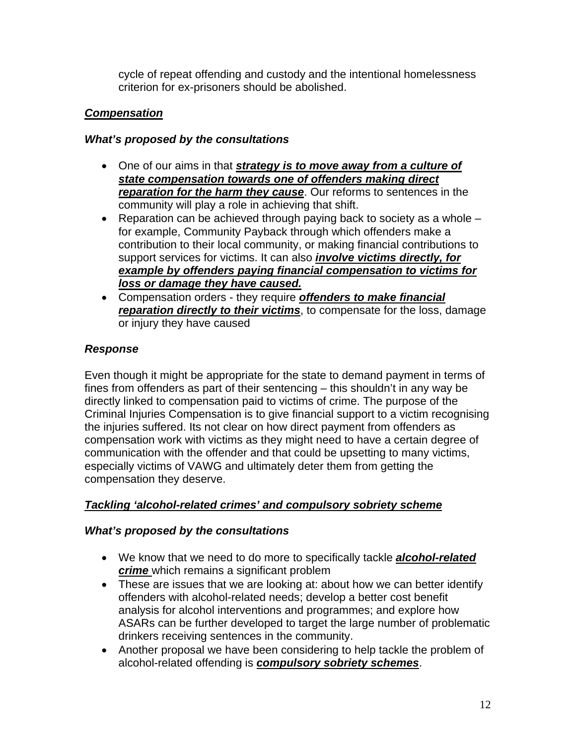cycle of repeat offending and custody and the intentional homelessness criterion for ex-prisoners should be abolished.

# *Compensation*

## *What's proposed by the consultations*

- One of our aims in that *strategy is to move away from a culture of state compensation towards one of offenders making direct reparation for the harm they cause*. Our reforms to sentences in the community will play a role in achieving that shift.
- Reparation can be achieved through paying back to society as a whole  $$ for example, Community Payback through which offenders make a contribution to their local community, or making financial contributions to support services for victims. It can also *involve victims directly, for example by offenders paying financial compensation to victims for loss or damage they have caused.*
- Compensation orders they require *offenders to make financial reparation directly to their victims*, to compensate for the loss, damage or injury they have caused

# *Response*

Even though it might be appropriate for the state to demand payment in terms of fines from offenders as part of their sentencing – this shouldn't in any way be directly linked to compensation paid to victims of crime. The purpose of the Criminal Injuries Compensation is to give financial support to a victim recognising the injuries suffered. Its not clear on how direct payment from offenders as compensation work with victims as they might need to have a certain degree of communication with the offender and that could be upsetting to many victims, especially victims of VAWG and ultimately deter them from getting the compensation they deserve.

# *Tackling 'alcohol-related crimes' and compulsory sobriety scheme*

## *What's proposed by the consultations*

- We know that we need to do more to specifically tackle *alcohol-related crime* which remains a significant problem
- These are issues that we are looking at: about how we can better identify offenders with alcohol-related needs; develop a better cost benefit analysis for alcohol interventions and programmes; and explore how ASARs can be further developed to target the large number of problematic drinkers receiving sentences in the community.
- Another proposal we have been considering to help tackle the problem of alcohol-related offending is *compulsory sobriety schemes*.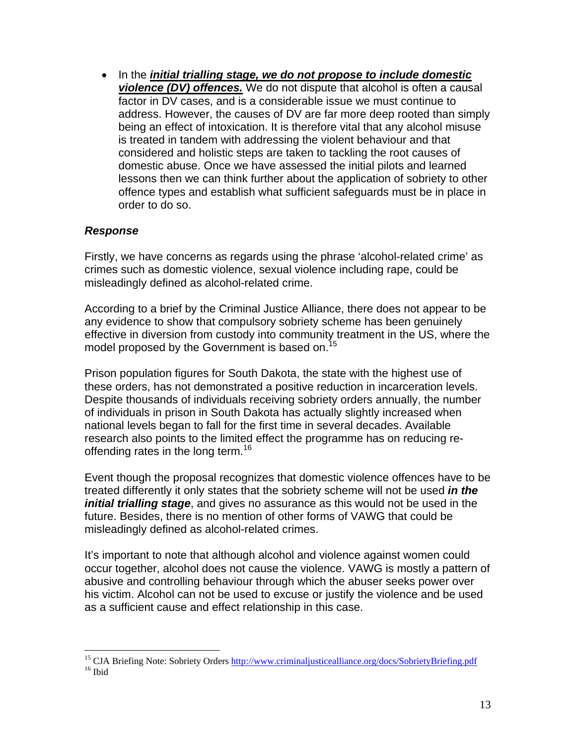• In the *initial trialling stage, we do not propose to include domestic violence (DV) offences.* We do not dispute that alcohol is often a causal factor in DV cases, and is a considerable issue we must continue to address. However, the causes of DV are far more deep rooted than simply being an effect of intoxication. It is therefore vital that any alcohol misuse is treated in tandem with addressing the violent behaviour and that considered and holistic steps are taken to tackling the root causes of domestic abuse. Once we have assessed the initial pilots and learned lessons then we can think further about the application of sobriety to other offence types and establish what sufficient safeguards must be in place in order to do so.

### *Response*

1

Firstly, we have concerns as regards using the phrase 'alcohol-related crime' as crimes such as domestic violence, sexual violence including rape, could be misleadingly defined as alcohol-related crime.

According to a brief by the Criminal Justice Alliance, there does not appear to be any evidence to show that compulsory sobriety scheme has been genuinely effective in diversion from custody into community treatment in the US, where the model proposed by the Government is based on.<sup>[15](#page-12-0)</sup>

Prison population figures for South Dakota, the state with the highest use of these orders, has not demonstrated a positive reduction in incarceration levels. Despite thousands of individuals receiving sobriety orders annually, the number of individuals in prison in South Dakota has actually slightly increased when national levels began to fall for the first time in several decades. Available research also points to the limited effect the programme has on reducing re-offending rates in the long term.<sup>[16](#page-12-1)</sup>

Event though the proposal recognizes that domestic violence offences have to be treated differently it only states that the sobriety scheme will not be used *in the initial trialling stage*, and gives no assurance as this would not be used in the future. Besides, there is no mention of other forms of VAWG that could be misleadingly defined as alcohol-related crimes.

It's important to note that although alcohol and violence against women could occur together, alcohol does not cause the violence. VAWG is mostly a pattern of abusive and controlling behaviour through which the abuser seeks power over his victim. Alcohol can not be used to excuse or justify the violence and be used as a sufficient cause and effect relationship in this case.

<span id="page-12-1"></span><span id="page-12-0"></span><sup>&</sup>lt;sup>15</sup> CJA Briefing Note: Sobriety Orders  $\frac{http://www.criminaljusticealliance.org/docs/Sobriety Briefing.pdf}{16}$ <sup>16</sup> Ibid